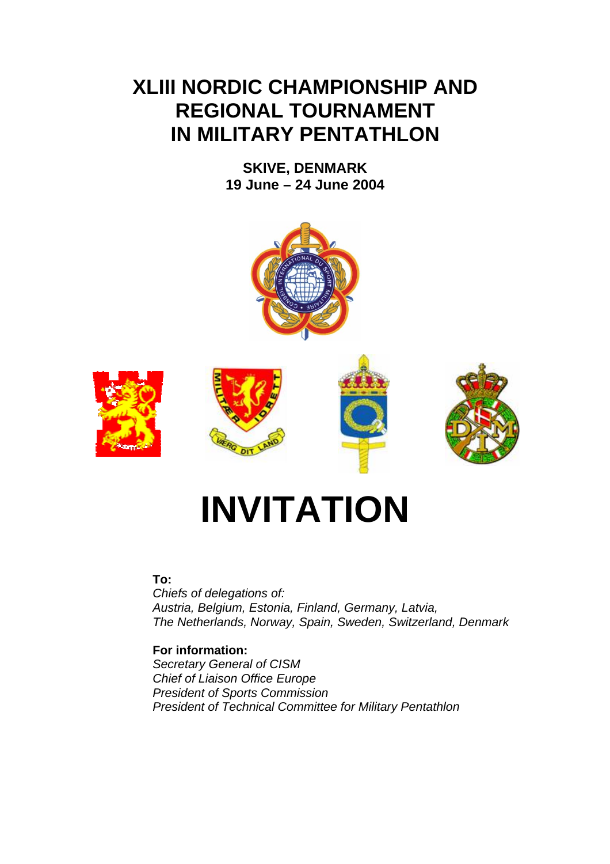## **XLIII NORDIC CHAMPIONSHIP AND REGIONAL TOURNAMENT IN MILITARY PENTATHLON**

**SKIVE, DENMARK 19 June – 24 June 2004** 



# **INVITATION**

#### **To:**

*Chiefs of delegations of: Austria, Belgium, Estonia, Finland, Germany, Latvia, The Netherlands, Norway, Spain, Sweden, Switzerland, Denmark* 

#### **For information:**

*Secretary General of CISM Chief of Liaison Office Europe President of Sports Commission President of Technical Committee for Military Pentathlon*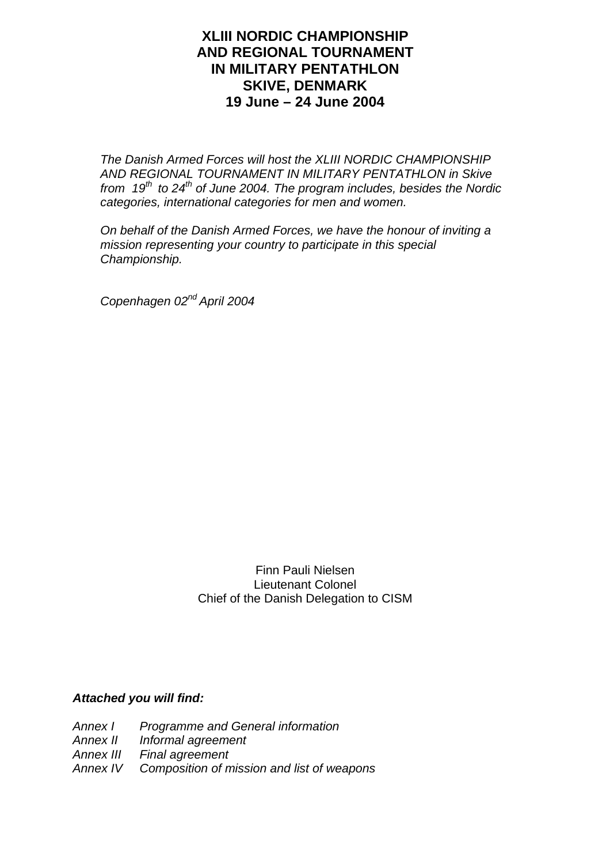#### **XLIII NORDIC CHAMPIONSHIP AND REGIONAL TOURNAMENT IN MILITARY PENTATHLON SKIVE, DENMARK 19 June – 24 June 2004**

*The Danish Armed Forces will host the XLIII NORDIC CHAMPIONSHIP AND REGIONAL TOURNAMENT IN MILITARY PENTATHLON in Skive from 19<sup>th</sup> to 24<sup>th</sup> of June 2004. The program includes, besides the Nordic categories, international categories for men and women.* 

*On behalf of the Danish Armed Forces, we have the honour of inviting a mission representing your country to participate in this special Championship.* 

*Copenhagen 02nd April 2004* 

Finn Pauli Nielsen Lieutenant Colonel Chief of the Danish Delegation to CISM

#### *Attached you will find:*

*Annex I Programme and General information Annex II Informal agreement Annex III Final agreement Annex IV Composition of mission and list of weapons*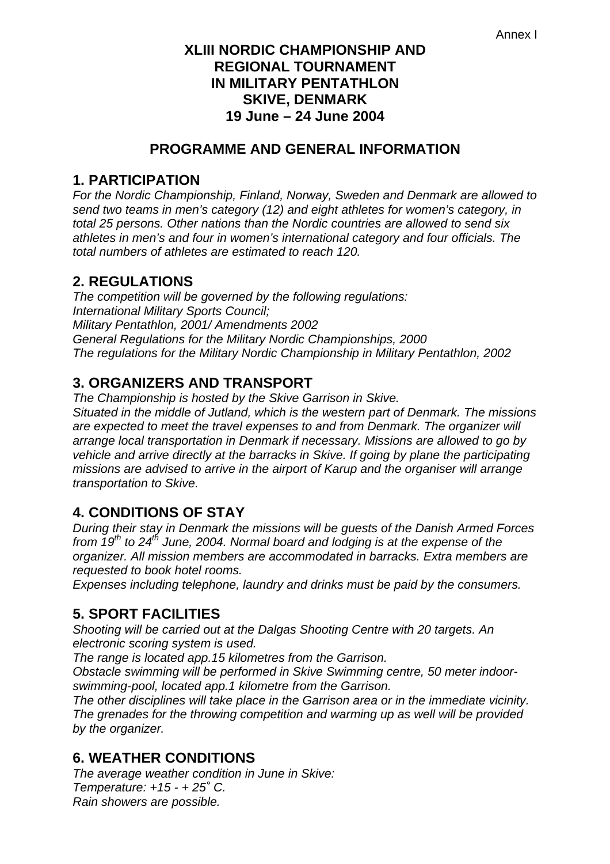#### **XLIII NORDIC CHAMPIONSHIP AND REGIONAL TOURNAMENT IN MILITARY PENTATHLON SKIVE, DENMARK 19 June – 24 June 2004**

#### **PROGRAMME AND GENERAL INFORMATION**

#### **1. PARTICIPATION**

*For the Nordic Championship, Finland, Norway, Sweden and Denmark are allowed to send two teams in men's category (12) and eight athletes for women's category, in total 25 persons. Other nations than the Nordic countries are allowed to send six athletes in men's and four in women's international category and four officials. The total numbers of athletes are estimated to reach 120.* 

## **2. REGULATIONS**

*The competition will be governed by the following regulations: International Military Sports Council; Military Pentathlon, 2001/ Amendments 2002 General Regulations for the Military Nordic Championships, 2000 The regulations for the Military Nordic Championship in Military Pentathlon, 2002* 

## **3. ORGANIZERS AND TRANSPORT**

*The Championship is hosted by the Skive Garrison in Skive. Situated in the middle of Jutland, which is the western part of Denmark. The missions*  are expected to meet the travel expenses to and from Denmark. The organizer will *arrange local transportation in Denmark if necessary. Missions are allowed to go by vehicle and arrive directly at the barracks in Skive. If going by plane the participating missions are advised to arrive in the airport of Karup and the organiser will arrange transportation to Skive.* 

## **4. CONDITIONS OF STAY**

*During their stay in Denmark the missions will be guests of the Danish Armed Forces from 19th to 24th June, 2004. Normal board and lodging is at the expense of the organizer. All mission members are accommodated in barracks. Extra members are requested to book hotel rooms.* 

*Expenses including telephone, laundry and drinks must be paid by the consumers.* 

## **5. SPORT FACILITIES**

*Shooting will be carried out at the Dalgas Shooting Centre with 20 targets. An electronic scoring system is used.* 

*The range is located app.15 kilometres from the Garrison.* 

*Obstacle swimming will be performed in Skive Swimming centre, 50 meter indoorswimming-pool, located app.1 kilometre from the Garrison.* 

*The other disciplines will take place in the Garrison area or in the immediate vicinity. The grenades for the throwing competition and warming up as well will be provided by the organizer.* 

## **6. WEATHER CONDITIONS**

*The average weather condition in June in Skive: Temperature: +15 - + 25˚ C. Rain showers are possible.*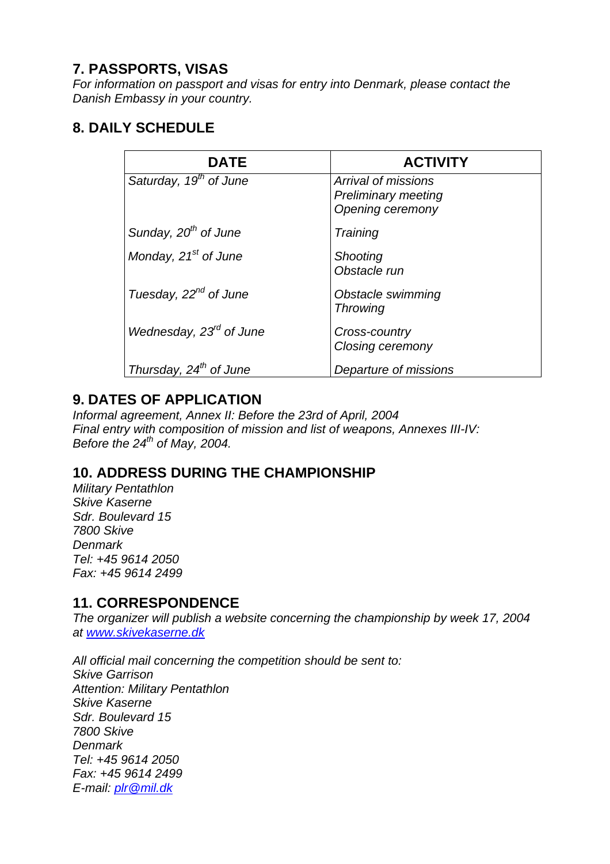#### **7. PASSPORTS, VISAS**

*For information on passport and visas for entry into Denmark, please contact the Danish Embassy in your country.* 

#### **8. DAILY SCHEDULE**

| <b>DATE</b>                         | <b>ACTIVITY</b>                                                       |
|-------------------------------------|-----------------------------------------------------------------------|
| Saturday, 19 <sup>th</sup> of June  | Arrival of missions<br><b>Preliminary meeting</b><br>Opening ceremony |
| Sunday, 20 <sup>th</sup> of June    | Training                                                              |
| Monday, $21st$ of June              | <b>Shooting</b><br>Obstacle run                                       |
| Tuesday, 22 <sup>nd</sup> of June   | Obstacle swimming<br><b>Throwing</b>                                  |
| Wednesday, 23 <sup>rd</sup> of June | Cross-country<br><b>Closing ceremony</b>                              |
| Thursday, $24^{th}$ of June         | Departure of missions                                                 |

## **9. DATES OF APPLICATION**

*Informal agreement, Annex II: Before the 23rd of April, 2004 Final entry with composition of mission and list of weapons, Annexes III-IV: Before the 24th of May, 2004.* 

#### **10. ADDRESS DURING THE CHAMPIONSHIP**

*Military Pentathlon Skive Kaserne Sdr. Boulevard 15 7800 Skive Denmark Tel: +45 9614 2050 Fax: +45 9614 2499* 

#### **11. CORRESPONDENCE**

*The organizer will publish a website concerning the championship by week 17, 2004 at www.skivekaserne.dk*

*All official mail concerning the competition should be sent to: Skive Garrison Attention: Military Pentathlon Skive Kaserne Sdr. Boulevard 15 7800 Skive Denmark Tel: +45 9614 2050 Fax: +45 9614 2499 E-mail: plr@mil.dk*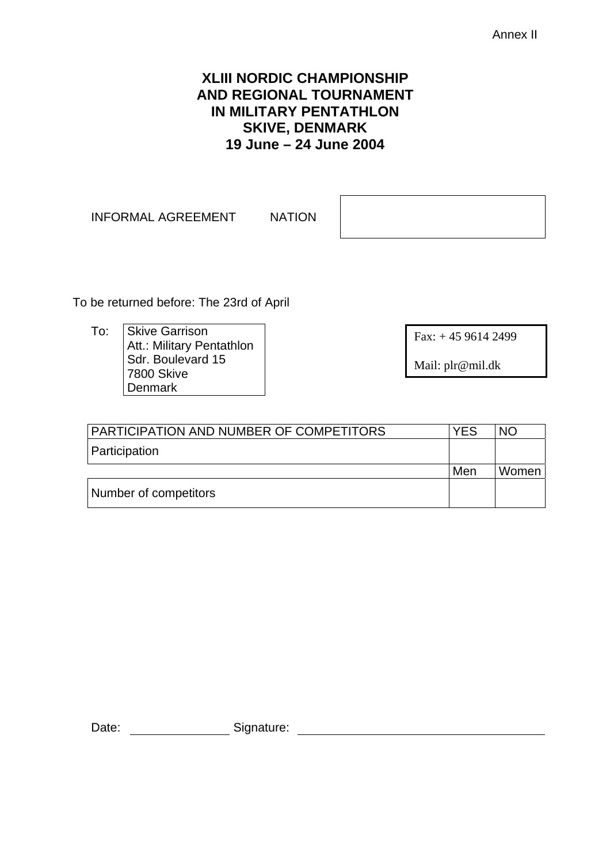Annex II

#### **XLIII NORDIC CHAMPIONSHIP AND REGIONAL TOURNAMENT IN MILITARY PENTATHLON SKIVE, DENMARK 19 June – 24 June 2004**

INFORMAL AGREEMENT NATION

To be returned before: The 23rd of April

To: Skive Garrison Att.: Military Pentathlon Sdr. Boulevard 15 7800 Skive Denmark

Fax: + 45 9614 2499

Mail: plr@mil.dk

| PARTICIPATION AND NUMBER OF COMPETITORS | YES | NO.   |
|-----------------------------------------|-----|-------|
| Participation                           |     |       |
|                                         | Men | Women |
| Number of competitors                   |     |       |

Date: Signature: Signature: Signature: Signature: Signature: Signature: Signature: Signature: Signature: Signature: Signature: Signature: Signature: Signature: Signature: Signature: Signature: Signature: Signature: Signatu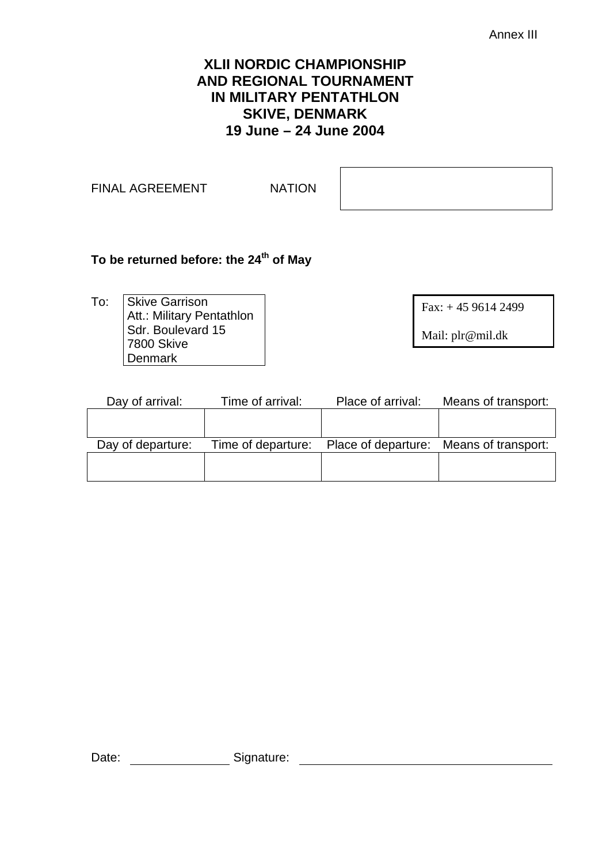Annex III

#### **XLII NORDIC CHAMPIONSHIP AND REGIONAL TOURNAMENT IN MILITARY PENTATHLON SKIVE, DENMARK 19 June – 24 June 2004**

FINAL AGREEMENT NATION

#### To be returned before: the 24<sup>th</sup> of May

To: Skive Garrison Att.: Military Pentathlon Sdr. Boulevard 15 7800 Skive **Denmark** 

Fax: + 45 9614 2499

Mail: plr@mil.dk

| Day of arrival:   | Time of arrival: | Place of arrival:                                          | Means of transport: |  |
|-------------------|------------------|------------------------------------------------------------|---------------------|--|
|                   |                  |                                                            |                     |  |
|                   |                  |                                                            |                     |  |
| Day of departure: |                  | Time of departure: Place of departure: Means of transport: |                     |  |
|                   |                  |                                                            |                     |  |
|                   |                  |                                                            |                     |  |